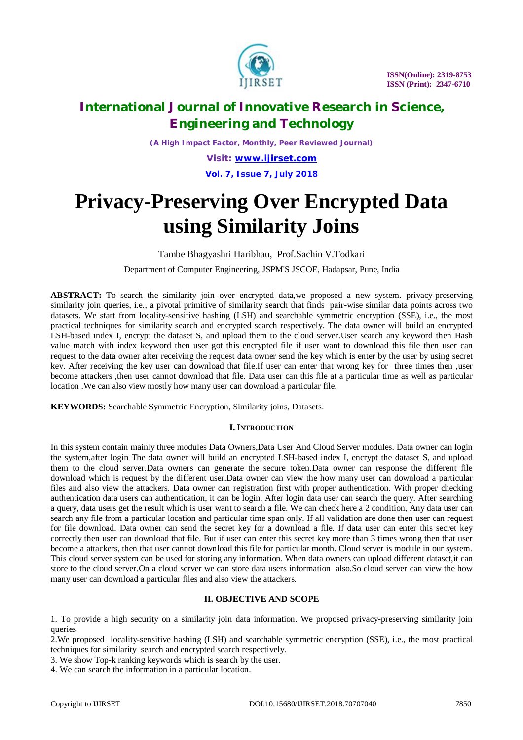

*(A High Impact Factor, Monthly, Peer Reviewed Journal)*

*Visit: [www.ijirset.com](http://www.ijirset.com)* **Vol. 7, Issue 7, July 2018**

# **Privacy-Preserving Over Encrypted Data using Similarity Joins**

Tambe Bhagyashri Haribhau, Prof.Sachin V.Todkari

Department of Computer Engineering, JSPM'S JSCOE, Hadapsar, Pune, India

**ABSTRACT:** To search the similarity join over encrypted data,we proposed a new system. privacy-preserving similarity join queries, i.e., a pivotal primitive of similarity search that finds pair-wise similar data points across two datasets. We start from locality-sensitive hashing (LSH) and searchable symmetric encryption (SSE), i.e., the most practical techniques for similarity search and encrypted search respectively. The data owner will build an encrypted LSH-based index I, encrypt the dataset S, and upload them to the cloud server.User search any keyword then Hash value match with index keyword then user got this encrypted file if user want to download this file then user can request to the data owner after receiving the request data owner send the key which is enter by the user by using secret key. After receiving the key user can download that file.If user can enter that wrong key for three times then ,user become attackers ,then user cannot download that file. Data user can this file at a particular time as well as particular location .We can also view mostly how many user can download a particular file.

**KEYWORDS:** Searchable Symmetric Encryption, Similarity joins, Datasets.

### **I. INTRODUCTION**

In this system contain mainly three modules Data Owners,Data User And Cloud Server modules. Data owner can login the system,after login The data owner will build an encrypted LSH-based index I, encrypt the dataset S, and upload them to the cloud server.Data owners can generate the secure token.Data owner can response the different file download which is request by the different user.Data owner can view the how many user can download a particular files and also view the attackers. Data owner can registration first with proper authentication. With proper checking authentication data users can authentication, it can be login. After login data user can search the query. After searching a query, data users get the result which is user want to search a file. We can check here a 2 condition, Any data user can search any file from a particular location and particular time span only. If all validation are done then user can request for file download. Data owner can send the secret key for a download a file. If data user can enter this secret key correctly then user can download that file. But if user can enter this secret key more than 3 times wrong then that user become a attackers, then that user cannot download this file for particular month. Cloud server is module in our system. This cloud server system can be used for storing any information. When data owners can upload different dataset,it can store to the cloud server.On a cloud server we can store data users information also.So cloud server can view the how many user can download a particular files and also view the attackers.

### **II. OBJECTIVE AND SCOPE**

1. To provide a high security on a similarity join data information. We proposed privacy-preserving similarity join queries

2.We proposed locality-sensitive hashing (LSH) and searchable symmetric encryption (SSE), i.e., the most practical techniques for similarity search and encrypted search respectively.

3. We show Top-k ranking keywords which is search by the user.

4. We can search the information in a particular location.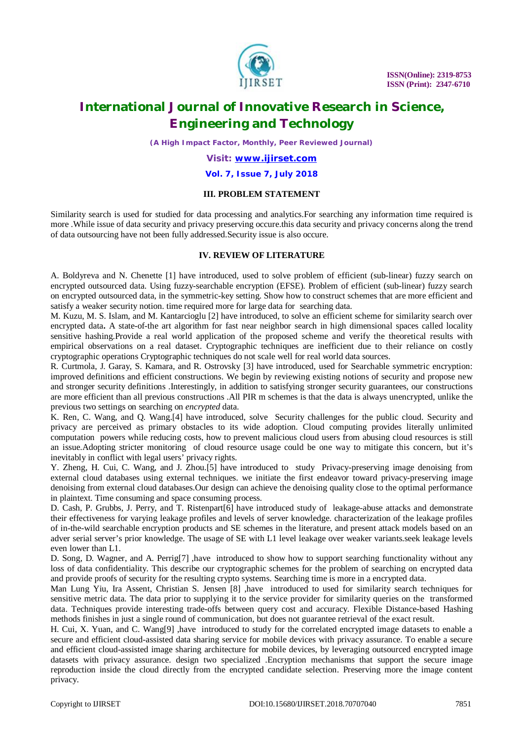

*(A High Impact Factor, Monthly, Peer Reviewed Journal)*

*Visit: [www.ijirset.com](http://www.ijirset.com)*

#### **Vol. 7, Issue 7, July 2018**

### **III. PROBLEM STATEMENT**

Similarity search is used for studied for data processing and analytics.For searching any information time required is more .While issue of data security and privacy preserving occure.this data security and privacy concerns along the trend of data outsourcing have not been fully addressed.Security issue is also occure.

### **IV. REVIEW OF LITERATURE**

A. Boldyreva and N. Chenette [1] have introduced, used to solve problem of efficient (sub-linear) fuzzy search on encrypted outsourced data. Using fuzzy-searchable encryption (EFSE). Problem of efficient (sub-linear) fuzzy search on encrypted outsourced data, in the symmetric-key setting. Show how to construct schemes that are more efficient and satisfy a weaker security notion. time required more for large data for searching data.

M. Kuzu, M. S. Islam, and M. Kantarcioglu [2] have introduced, to solve an efficient scheme for similarity search over encrypted data**.** A state-of-the art algorithm for fast near neighbor search in high dimensional spaces called locality sensitive hashing.Provide a real world application of the proposed scheme and verify the theoretical results with empirical observations on a real dataset. Cryptographic techniques are inefficient due to their reliance on costly cryptographic operations Cryptographic techniques do not scale well for real world data sources.

R. Curtmola, J. Garay, S. Kamara, and R. Ostrovsky [3] have introduced, used for Searchable symmetric encryption: improved definitions and efficient constructions. We begin by reviewing existing notions of security and propose new and stronger security definitions .Interestingly, in addition to satisfying stronger security guarantees, our constructions are more efficient than all previous constructions .All PIR m schemes is that the data is always unencrypted, unlike the previous two settings on searching on *encrypted* data.

K. Ren, C. Wang, and Q. Wang.[4] have introduced, solve Security challenges for the public cloud. Security and privacy are perceived as primary obstacles to its wide adoption. Cloud computing provides literally unlimited computation powers while reducing costs, how to prevent malicious cloud users from abusing cloud resources is still an issue.Adopting stricter monitoring of cloud resource usage could be one way to mitigate this concern, but it's inevitably in conflict with legal users' privacy rights.

Y. Zheng, H. Cui, C. Wang, and J. Zhou.[5] have introduced to study Privacy-preserving image denoising from external cloud databases using external techniques. we initiate the first endeavor toward privacy-preserving image denoising from external cloud databases.Our design can achieve the denoising quality close to the optimal performance in plaintext. Time consuming and space consuming process.

D. Cash, P. Grubbs, J. Perry, and T. Ristenpart[6] have introduced study of leakage-abuse attacks and demonstrate their effectiveness for varying leakage profiles and levels of server knowledge. characterization of the leakage profiles of in-the-wild searchable encryption products and SE schemes in the literature, and present attack models based on an adver serial server's prior knowledge. The usage of SE with L1 level leakage over weaker variants.seek leakage levels even lower than L1.

D. Song, D. Wagner, and A. Perrig<sup>[7]</sup> ,have introduced to show how to support searching functionality without any loss of data confidentiality. This describe our cryptographic schemes for the problem of searching on encrypted data and provide proofs of security for the resulting crypto systems. Searching time is more in a encrypted data.

Man Lung Yiu, Ira Assent, Christian S. Jensen [8] ,have introduced to used for similarity search techniques for sensitive metric data. The data prior to supplying it to the service provider for similarity queries on the transformed data. Techniques provide interesting trade-offs between query cost and accuracy. Flexible Distance-based Hashing methods finishes in just a single round of communication, but does not guarantee retrieval of the exact result.

H. Cui, X. Yuan, and C. Wang[9] ,have introduced to study for the correlated encrypted image datasets to enable a secure and efficient cloud-assisted data sharing service for mobile devices with privacy assurance. To enable a secure and efficient cloud-assisted image sharing architecture for mobile devices, by leveraging outsourced encrypted image datasets with privacy assurance. design two specialized .Encryption mechanisms that support the secure image reproduction inside the cloud directly from the encrypted candidate selection. Preserving more the image content privacy.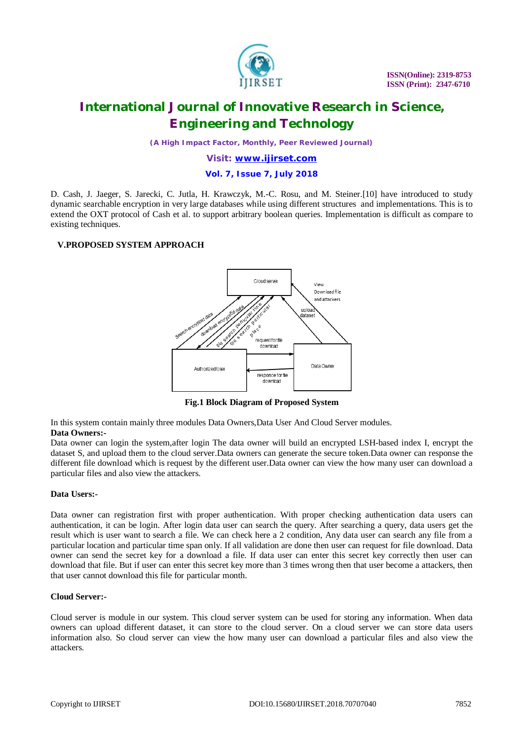

*(A High Impact Factor, Monthly, Peer Reviewed Journal)*

### *Visit: [www.ijirset.com](http://www.ijirset.com)*

#### **Vol. 7, Issue 7, July 2018**

D. Cash, J. Jaeger, S. Jarecki, C. Jutla, H. Krawczyk, M.-C. Rosu, and M. Steiner.[10] have introduced to study dynamic searchable encryption in very large databases while using different structures and implementations. This is to extend the OXT protocol of Cash et al. to support arbitrary boolean queries. Implementation is difficult as compare to existing techniques.

### **V.PROPOSED SYSTEM APPROACH**



**Fig.1 Block Diagram of Proposed System**

In this system contain mainly three modules Data Owners,Data User And Cloud Server modules. **Data Owners:-**

Data owner can login the system,after login The data owner will build an encrypted LSH-based index I, encrypt the dataset S, and upload them to the cloud server.Data owners can generate the secure token.Data owner can response the different file download which is request by the different user.Data owner can view the how many user can download a particular files and also view the attackers.

#### **Data Users:-**

Data owner can registration first with proper authentication. With proper checking authentication data users can authentication, it can be login. After login data user can search the query. After searching a query, data users get the result which is user want to search a file. We can check here a 2 condition, Any data user can search any file from a particular location and particular time span only. If all validation are done then user can request for file download. Data owner can send the secret key for a download a file. If data user can enter this secret key correctly then user can download that file. But if user can enter this secret key more than 3 times wrong then that user become a attackers, then that user cannot download this file for particular month.

#### **Cloud Server:-**

Cloud server is module in our system. This cloud server system can be used for storing any information. When data owners can upload different dataset, it can store to the cloud server. On a cloud server we can store data users information also. So cloud server can view the how many user can download a particular files and also view the attackers.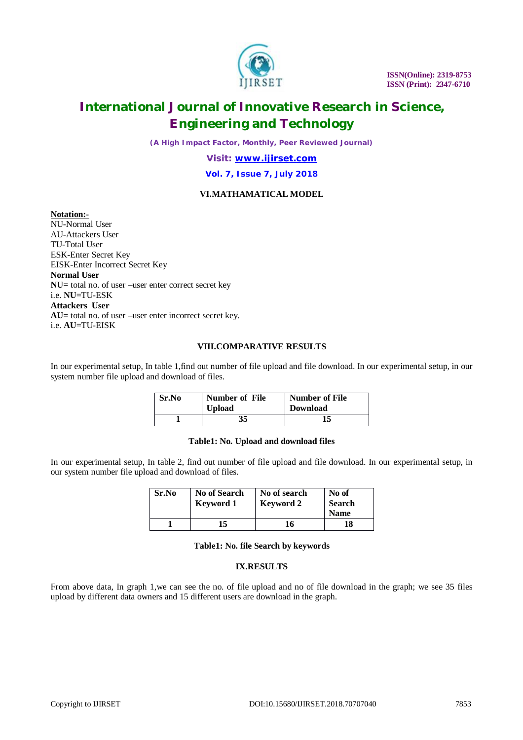

*(A High Impact Factor, Monthly, Peer Reviewed Journal)*

*Visit: [www.ijirset.com](http://www.ijirset.com)*

### **Vol. 7, Issue 7, July 2018**

## **VI.MATHAMATICAL MODEL**

**Notation:-**

NU-Normal User AU-Attackers User TU-Total User ESK-Enter Secret Key EISK-Enter Incorrect Secret Key **Normal User NU=** total no. of user –user enter correct secret key i.e. **NU**=TU-ESK **Attackers User AU=** total no. of user –user enter incorrect secret key. i.e. **AU**=TU-EISK

### **VIII.COMPARATIVE RESULTS**

In our experimental setup, In table 1,find out number of file upload and file download. In our experimental setup, in our system number file upload and download of files.

| Sr.No | <b>Number of File</b><br><b>Upload</b> | Number of File<br><b>Download</b> |
|-------|----------------------------------------|-----------------------------------|
|       | 35                                     | 15                                |

#### **Table1: No. Upload and download files**

In our experimental setup, In table 2, find out number of file upload and file download. In our experimental setup, in our system number file upload and download of files.

| Sr.No | <b>No of Search</b><br><b>Keyword 1</b> | No of search<br><b>Keyword 2</b> | No of<br><b>Search</b><br><b>Name</b> |
|-------|-----------------------------------------|----------------------------------|---------------------------------------|
|       | 15                                      | 16                               | 18                                    |

### **Table1: No. file Search by keywords**

### **IX.RESULTS**

From above data, In graph 1,we can see the no. of file upload and no of file download in the graph; we see 35 files upload by different data owners and 15 different users are download in the graph.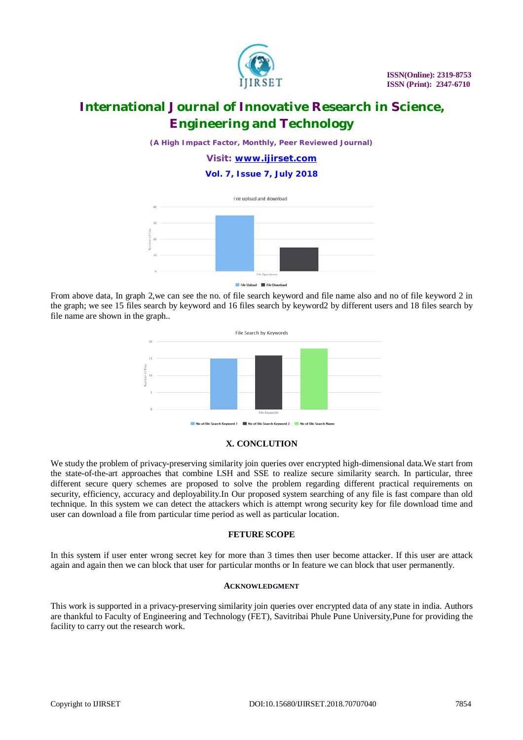

*(A High Impact Factor, Monthly, Peer Reviewed Journal)*

*Visit: [www.ijirset.com](http://www.ijirset.com)*

**Vol. 7, Issue 7, July 2018**



File Upload **III** File De

From above data, In graph 2,we can see the no. of file search keyword and file name also and no of file keyword 2 in the graph; we see 15 files search by keyword and 16 files search by keyword2 by different users and 18 files search by file name are shown in the graph..



### **X. CONCLUTION**

We study the problem of privacy-preserving similarity join queries over encrypted high-dimensional data. We start from the state-of-the-art approaches that combine LSH and SSE to realize secure similarity search. In particular, three different secure query schemes are proposed to solve the problem regarding different practical requirements on security, efficiency, accuracy and deployability.In Our proposed system searching of any file is fast compare than old technique. In this system we can detect the attackers which is attempt wrong security key for file download time and user can download a file from particular time period as well as particular location.

### **FETURE SCOPE**

In this system if user enter wrong secret key for more than 3 times then user become attacker. If this user are attack again and again then we can block that user for particular months or In feature we can block that user permanently.

### **ACKNOWLEDGMENT**

This work is supported in a privacy-preserving similarity join queries over encrypted data of any state in india. Authors are thankful to Faculty of Engineering and Technology (FET), Savitribai Phule Pune University,Pune for providing the facility to carry out the research work.